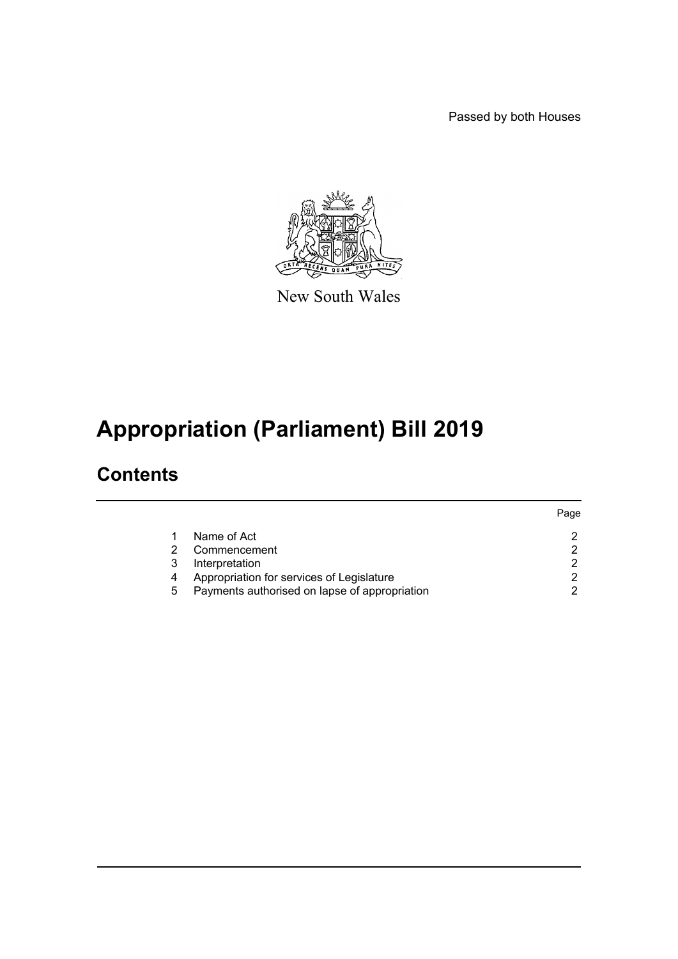Passed by both Houses



New South Wales

# **Appropriation (Parliament) Bill 2019**

### **Contents**

|   |                                               | Page |
|---|-----------------------------------------------|------|
|   | Name of Act                                   | ◠    |
|   | Commencement                                  |      |
|   | Interpretation                                | ◠    |
| 4 | Appropriation for services of Legislature     |      |
| 5 | Payments authorised on lapse of appropriation |      |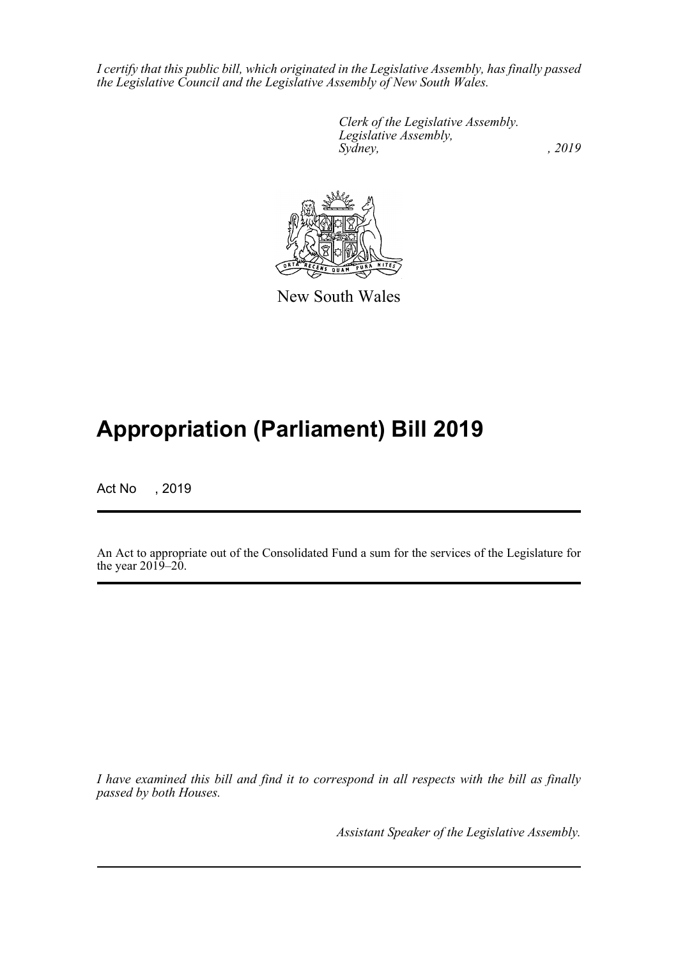*I certify that this public bill, which originated in the Legislative Assembly, has finally passed the Legislative Council and the Legislative Assembly of New South Wales.*

> *Clerk of the Legislative Assembly. Legislative Assembly, Sydney,* , 2019



New South Wales

## **Appropriation (Parliament) Bill 2019**

Act No , 2019

An Act to appropriate out of the Consolidated Fund a sum for the services of the Legislature for the year  $2019-20$ .

*I have examined this bill and find it to correspond in all respects with the bill as finally passed by both Houses.*

*Assistant Speaker of the Legislative Assembly.*